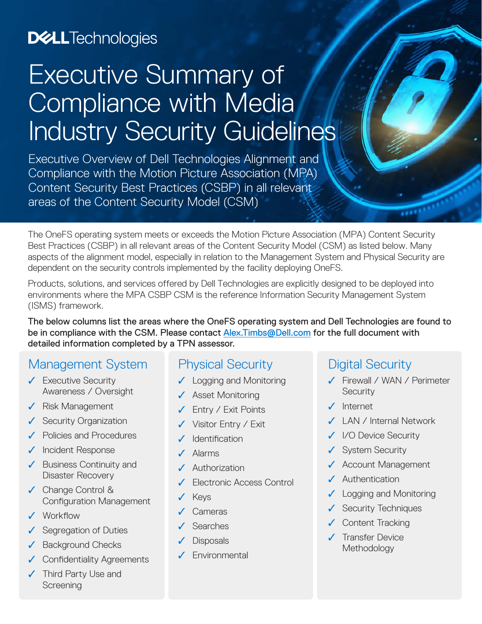# **D&LL**Technologies

# Executive Summary of Compliance with Media Industry Security Guidelines

Executive Overview of Dell Technologies Alignment and Compliance with the Motion Picture Association (MPA) Content Security Best Practices (CSBP) in all relevant areas of the Content Security Model (CSM)

The OneFS operating system meets or exceeds the Motion Picture Association (MPA) Content Security Best Practices (CSBP) in all relevant areas of the Content Security Model (CSM) as listed below. Many aspects of the alignment model, especially in relation to the Management System and Physical Security are dependent on the security controls implemented by the facility deploying OneFS.

Products, solutions, and services offered by Dell Technologies are explicitly designed to be deployed into environments where the MPA CSBP CSM is the reference Information Security Management System (ISMS) framework.

The below columns list the areas where the OneFS operating system and Dell Technologies are found to be in compliance with the CSM. Please contact [Alex.Timbs@Dell.com](mailto:Alex.Timbs%40Dell.com?subject=) for the full document with detailed information completed by a TPN assessor.

## Management System

- ✓ Executive Security Awareness / Oversight
- ✓ Risk Management
- ✓ Security Organization
- ✓ Policies and Procedures
- ✓ Incident Response
- ✓ Business Continuity and Disaster Recovery
- ✓ Change Control & Configuration Management
- ✓ Workflow
- ✓ Segregation of Duties
- ✓ Background Checks
- ✓ Confidentiality Agreements
- ✓ Third Party Use and Screening

#### Physical Security

- ✓ Logging and Monitoring
- ✓ Asset Monitoring
- ✓ Entry / Exit Points
- Visitor Entry / Exit
- **Identification**
- Alarms
- **Authorization**
- ✓ Electronic Access Control
- **Keys**
- **Cameras**
- **Searches**
- **Disposals**
- ✓ Environmental

#### Digital Security

- ✓ Firewall / WAN / Perimeter **Security**
- ✓ Internet
- ✓ LAN / Internal Network
- ✓ I/O Device Security
- ✓ System Security
- ✓ Account Management
- ✓ Authentication
- ✓ Logging and Monitoring
- ✓ Security Techniques
- ✓ Content Tracking
- ✓ Transfer Device **Methodology**